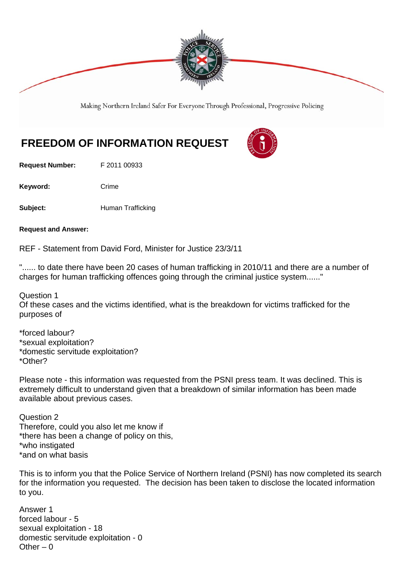

Making Northern Ireland Safer For Everyone Through Professional, Progressive Policing

## **FREEDOM OF INFORMATION REQUEST**

**Request Number:** F 2011 00933

Keyword: Crime

**Subject: Human Trafficking** 

**Request and Answer:** 

REF - Statement from David Ford, Minister for Justice 23/3/11

"...... to date there have been 20 cases of human trafficking in 2010/11 and there are a number of charges for human trafficking offences going through the criminal justice system......"

Question 1

Of these cases and the victims identified, what is the breakdown for victims trafficked for the purposes of

\*forced labour? \*sexual exploitation? \*domestic servitude exploitation? \*Other?

Please note - this information was requested from the PSNI press team. It was declined. This is extremely difficult to understand given that a breakdown of similar information has been made available about previous cases.

Question 2 Therefore, could you also let me know if \*there has been a change of policy on this, \*who instigated \*and on what basis

This is to inform you that the Police Service of Northern Ireland (PSNI) has now completed its search for the information you requested. The decision has been taken to disclose the located information to you.

Answer 1 forced labour - 5 sexual exploitation - 18 domestic servitude exploitation - 0 Other  $-0$